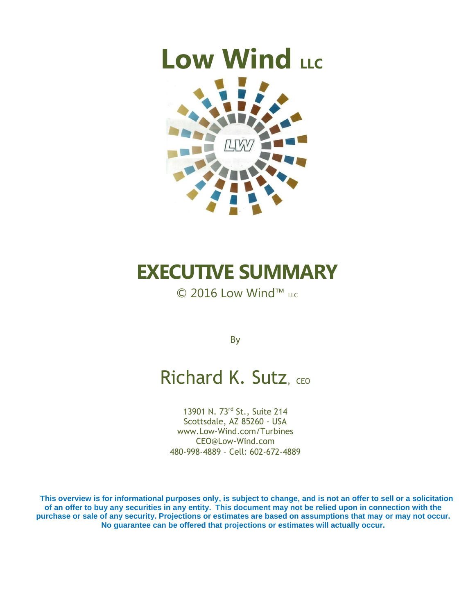# **Low Wind** LLC



## **EXECUTIVE SUMMARY**

© 2016 Low Wind™ LLC

By

### Richard K. Sutz, CEO

13901 N. 73rd St., Suite 214 Scottsdale, AZ 85260 - USA [www.Low-Wind.com/Turbines](http://www.low-wind.com/) [CEO@Low-Wind.com](mailto:CEO@Low-Wind.com) 480-998-4889 – Cell: 602-672-4889

**This overview is for informational purposes only, is subject to change, and is not an offer to sell or a solicitation of an offer to buy any securities in any entity. This document may not be relied upon in connection with the purchase or sale of any security. Projections or estimates are based on assumptions that may or may not occur. No guarantee can be offered that projections or estimates will actually occur.**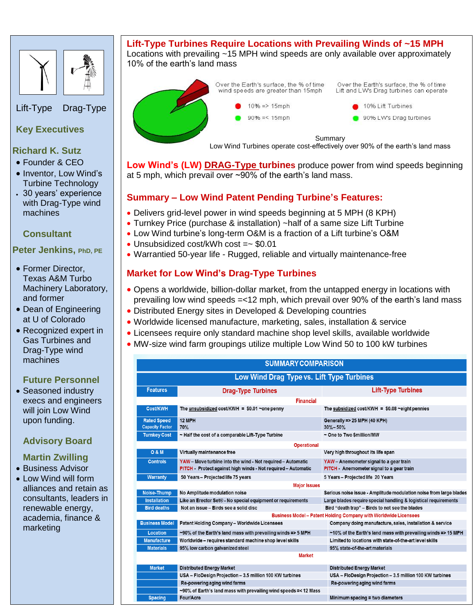

Lift-Type Drag-Type

#### **Key Executives**

- **Richard K. Sutz**
- Founder & CEO
- Inventor, Low Wind's Turbine Technology
- 30 years' experience with Drag-Type wind machines

#### **Consultant**

#### **Peter Jenkins, PhD, PE**

- Former Director, Texas A&M Turbo Machinery Laboratory, and former
- Dean of Engineering at U of Colorado
- Recognized expert in Gas Turbines and Drag-Type wind machines

#### **Future Personnel**

• Seasoned industry execs and engineers will join Low Wind upon funding.

#### **Advisory Board**

#### **Martin Zwilling**

• Business Advisor

 Low Wind will form alliances and retain as consultants, leaders in renewable energy, academia, finance & marketing

#### **Lift-Type Turbines Require Locations with Prevailing Winds of ~15 MPH** Locations with prevailing ~15 MPH wind speeds are only available over approximately 10% of the earth's land mass



Over the Earth's surface, the % of time wind speeds are greater than 15mph  $10\% \Rightarrow 15$ mph

 $90\% = 15$ mph

Over the Earth's surface, the % of time Lift and LW's Drag turbines can operate

- 10% Lift Turbines
- 90% LW's Drag turbines

Summary

Low Wind Turbines operate cost-effectively over 90% of the earth's land mass

**Low Wind's (LW) DRAG-Type turbines** produce power from wind speeds beginning at 5 mph, which prevail over ~90% of the earth's land mass.

#### **Summary – Low Wind Patent Pending Turbine's Features:**

- Delivers grid-level power in wind speeds beginning at 5 MPH (8 KPH)
- Turnkey Price (purchase & installation) ~half of a same size Lift Turbine
- Low Wind turbine's long-term O&M is a fraction of a Lift turbine's O&M
- Unsubsidized cost/kWh cost =~ \$0.01
- Warrantied 50-year life Rugged, reliable and virtually maintenance-free

#### **Market for Low Wind's Drag-Type Turbines**

- Opens a worldwide, billion-dollar market, from the untapped energy in locations with prevailing low wind speeds =<12 mph, which prevail over 90% of the earth's land mass
- Distributed Energy sites in Developed & Developing countries
- Worldwide licensed manufacture, marketing, sales, installation & service
- Licensees require only standard machine shop level skills, available worldwide
- MW-size wind farm groupings utilize multiple Low Wind 50 to 100 kW turbines

| <b>SUMMARY COMPARISON</b>                                               |                                                                                                                            |                                                                                      |  |  |  |  |  |  |  |
|-------------------------------------------------------------------------|----------------------------------------------------------------------------------------------------------------------------|--------------------------------------------------------------------------------------|--|--|--|--|--|--|--|
| Low Wind Drag Type vs. Lift Type Turbines                               |                                                                                                                            |                                                                                      |  |  |  |  |  |  |  |
| <b>Features</b>                                                         | <b>Drag-Type Turbines</b>                                                                                                  | <b>Lift-Type Turbines</b>                                                            |  |  |  |  |  |  |  |
| <b>Financial</b>                                                        |                                                                                                                            |                                                                                      |  |  |  |  |  |  |  |
| Cost/KWH                                                                | The unsubsidized cost/KWH = $$0.01$ ~one penny                                                                             | The subsidized cost/KWH = $$0.08$ ~eight pennies                                     |  |  |  |  |  |  |  |
| <b>Rated Speed</b><br><b>Capacity Factor</b>                            | 12 MPH<br>70%                                                                                                              | Generally => 25 MPH (40 KPH)<br>$30\% - 50\%$                                        |  |  |  |  |  |  |  |
| <b>Turnkey Cost</b>                                                     | ~ Half the cost of a comparable Lift-Type Turbine                                                                          | ~ One to Two \$million/MW                                                            |  |  |  |  |  |  |  |
| <b>Operational</b>                                                      |                                                                                                                            |                                                                                      |  |  |  |  |  |  |  |
| <b>O&amp;M</b>                                                          | Virtually maintenance free                                                                                                 | Very high throughout its life span                                                   |  |  |  |  |  |  |  |
| <b>Controls</b>                                                         | YAW - Move turbine into the wind - Not required - Automatic<br>PITCH Protect against high winds - Not required - Automatic | YAW - Anemometer signal to a gear train<br>PITCH - Anemometer signal to a gear train |  |  |  |  |  |  |  |
| <b>Warranty</b>                                                         | 50 Years - Projected life 75 years                                                                                         | 5 Years - Projected life 20 Years                                                    |  |  |  |  |  |  |  |
| <b>Major Issues</b>                                                     |                                                                                                                            |                                                                                      |  |  |  |  |  |  |  |
| <b>Noise-Thump</b>                                                      | No Amplitude modulation noise                                                                                              | Serious noise issue - Amplitude modulation noise from large blades                   |  |  |  |  |  |  |  |
| <b>Installation</b>                                                     | Like an Erector Set® - No special equipment or requirements                                                                | Large blades require special handling & logistical requirements                      |  |  |  |  |  |  |  |
| <b>Bird deaths</b>                                                      | Not an issue - Birds see a solid disc                                                                                      | Bird "death trap" - Birds to not see the blades                                      |  |  |  |  |  |  |  |
| <b>Business Model - Patent Holding Company with Worldwide Licensees</b> |                                                                                                                            |                                                                                      |  |  |  |  |  |  |  |
| <b>Business Model</b>                                                   | <b>Patent Holding Company - Worldwide Licensees</b>                                                                        | Company doing manufacture, sales, installation & service                             |  |  |  |  |  |  |  |
| Location                                                                | ~90% of the Earth's land mass with prevailing winds => 5 MPH                                                               | ~10% of the Earth's land mass with prevailing winds => 15 MPH                        |  |  |  |  |  |  |  |
| <b>Manufacture</b>                                                      | Worldwide - requires standard machine shop level skills                                                                    | Limited to locations with state-of-the-art level skills                              |  |  |  |  |  |  |  |
| <b>Materials</b>                                                        | 95% low carbon galvanized steel                                                                                            | 95% state-of-the-art materials                                                       |  |  |  |  |  |  |  |
|                                                                         | <b>Market</b>                                                                                                              |                                                                                      |  |  |  |  |  |  |  |
| <b>Market</b>                                                           | <b>Distributed Energy Market</b>                                                                                           | <b>Distributed Energy Market</b>                                                     |  |  |  |  |  |  |  |
|                                                                         | USA - FloDesign Projection - 3.5 million 100 KW turbines                                                                   | USA - FloDesign Projection - 3.5 million 100 KW turbines                             |  |  |  |  |  |  |  |
|                                                                         | Re-powering aging wind farms                                                                                               | Re-powering aging wind farms                                                         |  |  |  |  |  |  |  |
|                                                                         | ~90% of Earth's land mass with prevailing wind speeds =< 12 Mass                                                           |                                                                                      |  |  |  |  |  |  |  |
| <b>Spacing</b>                                                          | Four/Acre                                                                                                                  | Minimum spacing $\equiv$ two diameters                                               |  |  |  |  |  |  |  |